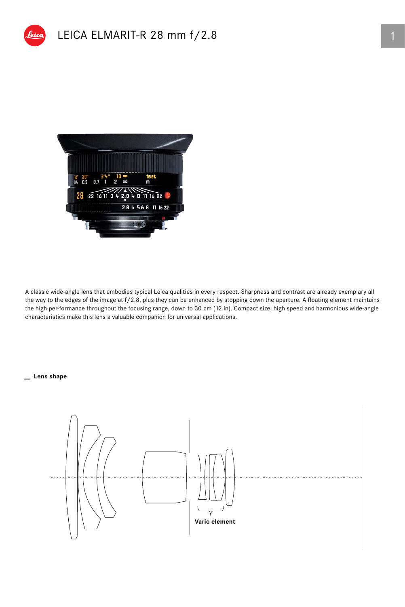



A classic wide-angle lens that embodies typical Leica qualities in every respect. Sharpness and contrast are already exemplary all the way to the edges of the image at f/2.8, plus they can be enhanced by stopping down the aperture. A floating element maintains the high per-formance throughout the focusing range, down to 30 cm (12 in). Compact size, high speed and harmonious wide-angle characteristics make this lens a valuable companion for universal applications.

## **\_\_ Lens shape**

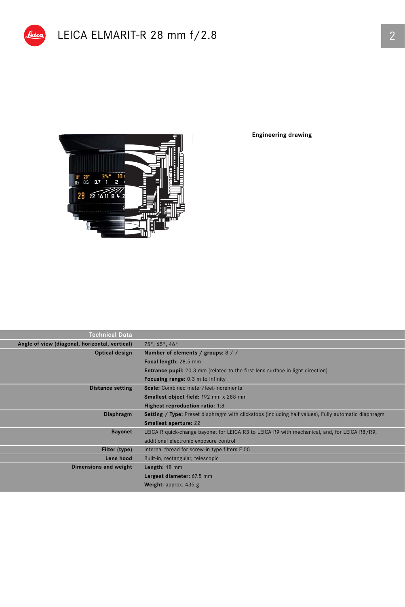



**Engineering drawing**

| Technical Data                                 |                                                                                                     |  |  |  |
|------------------------------------------------|-----------------------------------------------------------------------------------------------------|--|--|--|
| Angle of view (diagonal, horizontal, vertical) | $75^{\circ}$ , 65°, 46°                                                                             |  |  |  |
| Optical design                                 | Number of elements / groups: $8/7$                                                                  |  |  |  |
|                                                | Focal length: 28.5 mm                                                                               |  |  |  |
|                                                | <b>Entrance pupil:</b> 20.3 mm (related to the first lens surface in light direction)               |  |  |  |
|                                                | <b>Focusing range:</b> 0.3 m to Infinity                                                            |  |  |  |
| <b>Distance setting</b>                        | Scale: Combined meter/feet-increments                                                               |  |  |  |
|                                                | Smallest object field: 192 mm x 288 mm                                                              |  |  |  |
|                                                | Highest reproduction ratio: 1:8                                                                     |  |  |  |
| <b>Diaphragm</b>                               | Setting / Type: Preset diaphragm with clickstops (including half values), Fully automatic diaphragm |  |  |  |
|                                                | <b>Smallest aperture: 22</b>                                                                        |  |  |  |
| <b>Bayonet</b>                                 | LEICA R quick-change bayonet for LEICA R3 to LEICA R9 with mechanical, and, for LEICA R8/R9,        |  |  |  |
|                                                | additional electronic exposure control                                                              |  |  |  |
| Filter (type)                                  | Internal thread for screw-in type filters E 55                                                      |  |  |  |
| Lens hood                                      | Built-in, rectangular, telescopic                                                                   |  |  |  |
| Dimensions and weight                          | Length: 48 mm                                                                                       |  |  |  |
|                                                | Largest diameter: 67.5 mm                                                                           |  |  |  |
|                                                | <b>Weight:</b> approx. $435$ g                                                                      |  |  |  |
|                                                |                                                                                                     |  |  |  |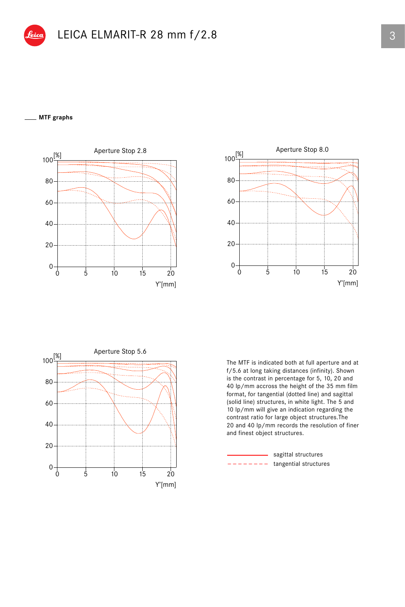## **MTF graphs**







The MTF is indicated both at full aperture and at f/5.6 at long taking distances (infinity). Shown is the contrast in percentage for 5, 10, 20 and 40 lp/mm accross the height of the 35 mm film format, for tangential (dotted line) and sagittal (solid line) structures, in white light. The 5 and 10 lp/mm will give an indication regarding the contrast ratio for large object structures.The 20 and 40 lp/mm records the resolution of finer and finest object structures.

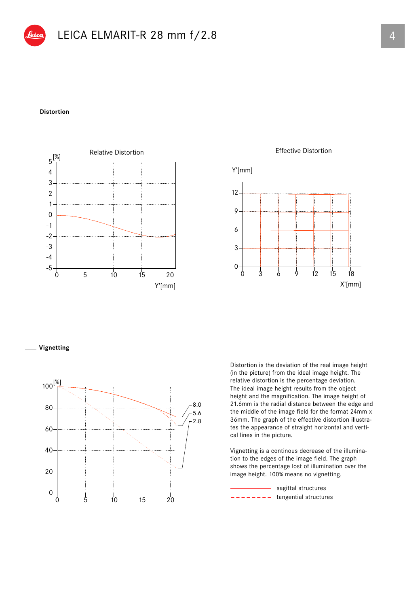## **Distortion**



Effective Distortion



**Vignetting**



Distortion is the deviation of the real image height (in the picture) from the ideal image height. The relative distortion is the percentage deviation. The ideal image height results from the object height and the magnification. The image height of 21.6mm is the radial distance between the edge and the middle of the image field for the format 24mm x 36mm. The graph of the effective distortion illustrates the appearance of straight horizontal and vertical lines in the picture.

Vignetting is a continous decrease of the illumination to the edges of the image field. The graph shows the percentage lost of illumination over the image height. 100% means no vignetting.

> tangential structures sagittal structures  $-$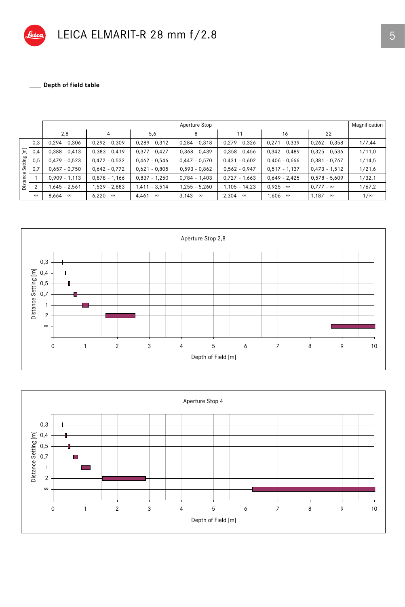

Depth of field table

|                             |          | Aperture Stop    |                  |                  |                  |                  |                  |                  |        |  |
|-----------------------------|----------|------------------|------------------|------------------|------------------|------------------|------------------|------------------|--------|--|
|                             |          | 2,8              | 4                | 5,6              | 8                |                  | 16               | 22               |        |  |
| Ξ<br>Setting<br>anc<br>isid | 0,3      | $0,294 - 0,306$  | $0,292 - 0,309$  | $0,289 - 0,312$  | $0,284 - 0,318$  | $0,279 - 0,326$  | $0,271 - 0,339$  | $0,262 - 0,358$  | 1/7,44 |  |
|                             | 0,4      | $0,388 - 0,413$  | $0,383 - 0,419$  | $0,377 - 0,427$  | $0,368 - 0,439$  | $0.358 - 0.456$  | $0,342 - 0,489$  | $0,325 - 0,536$  | 1/11,0 |  |
|                             | 0,5      | $0,479 - 0,523$  | $0,472 - 0,532$  | $0,462 - 0,546$  | $0,447 - 0,570$  | $0,431 - 0,602$  | $0,406 - 0,666$  | $0,381 - 0,767$  | 1/14,5 |  |
|                             | 0,7      | $0,657 - 0,750$  | $0.642 - 0.772$  | $0,621 - 0,805$  | $0,593 - 0,862$  | $0,562 - 0,947$  | $0,517 - 1,137$  | $0,473 - 1,512$  | 1/21,6 |  |
|                             |          | $0,909 - 1,113$  | $0,878 - 1,166$  | $0.837 - 1.250$  | $0,784 - 1,403$  | $0,727 - 1,663$  | $0,649 - 2,425$  | $0,578 - 5,609$  | 1/32,1 |  |
|                             | $\Omega$ | 1,645 - 2,561    | $1,539 - 2,883$  | $1,411 - 3,514$  | $1,255 - 5,260$  | $1,105 - 14,23$  | $0.925 - \infty$ | $0.777 - \infty$ | 1/67,2 |  |
|                             | $\infty$ | $8.664 - \infty$ | $6.220 - \infty$ | $4.461 - \infty$ | $3.143 - \infty$ | $2.304 - \infty$ | $1.606 - \infty$ | $1.187 - ∞$      | 1/∞    |  |



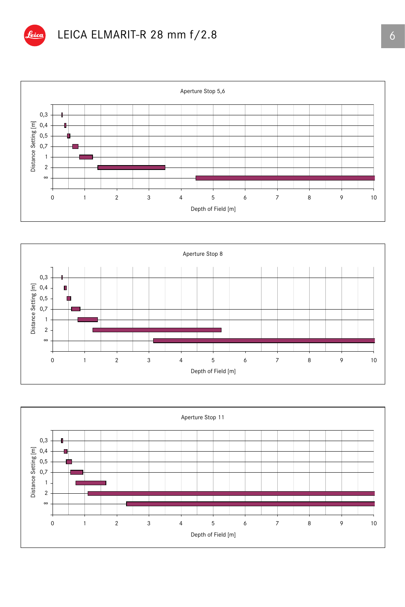